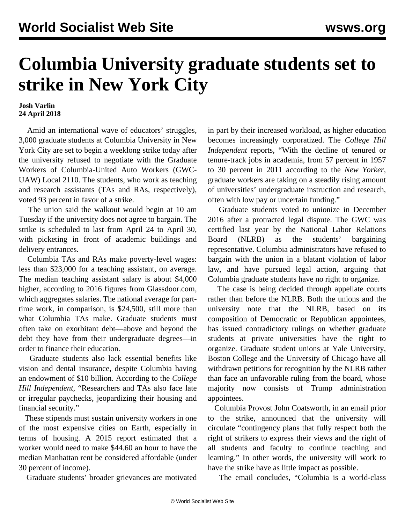## **Columbia University graduate students set to strike in New York City**

## **Josh Varlin 24 April 2018**

 Amid an international wave of educators' struggles, 3,000 graduate students at Columbia University in New York City are set to begin a weeklong strike today after the university refused to negotiate with the Graduate Workers of Columbia-United Auto Workers (GWC-UAW) Local 2110. The students, who work as teaching and research assistants (TAs and RAs, respectively), voted 93 percent in favor of a strike.

 The union said the walkout would begin at 10 am Tuesday if the university does not agree to bargain. The strike is scheduled to last from April 24 to April 30, with picketing in front of academic buildings and delivery entrances.

 Columbia TAs and RAs make poverty-level wages: less than \$23,000 for a teaching assistant, on average. The median teaching assistant salary is about \$4,000 higher, according to 2016 figures from Glassdoor.com, which aggregates salaries. The national average for parttime work, in comparison, is \$24,500, still more than what Columbia TAs make. Graduate students must often take on exorbitant debt—above and beyond the debt they have from their undergraduate degrees—in order to finance their education.

 Graduate students also lack essential benefits like vision and dental insurance, despite Columbia having an endowment of \$10 billion. According to the *College Hill Independent*, "Researchers and TAs also face late or irregular paychecks, jeopardizing their housing and financial security."

 These stipends must sustain university workers in one of the most expensive cities on Earth, especially in terms of housing. A 2015 report estimated that a worker would need to make \$44.60 an hour to have the median Manhattan rent be considered affordable (under 30 percent of income).

Graduate students' broader grievances are motivated

in part by their increased workload, as higher education becomes increasingly corporatized. The *College Hill Independent* reports, "With the decline of tenured or tenure-track jobs in academia, from 57 percent in 1957 to 30 percent in 2011 according to the *New Yorker*, graduate workers are taking on a steadily rising amount of universities' undergraduate instruction and research, often with low pay or uncertain funding."

 Graduate students voted to unionize in December 2016 after a protracted legal dispute. The GWC was certified last year by the National Labor Relations Board (NLRB) as the students' bargaining representative. Columbia administrators have refused to bargain with the union in a blatant violation of labor law, and have pursued legal action, arguing that Columbia graduate students have no right to organize.

 The case is being decided through appellate courts rather than before the NLRB. Both the unions and the university note that the NLRB, based on its composition of Democratic or Republican appointees, has issued contradictory rulings on whether graduate students at private universities have the right to organize. Graduate student unions at Yale University, Boston College and the University of Chicago have all withdrawn petitions for recognition by the NLRB rather than face an unfavorable ruling from the board, whose majority now consists of Trump administration appointees.

 Columbia Provost John Coatsworth, in an email prior to the strike, announced that the university will circulate "contingency plans that fully respect both the right of strikers to express their views and the right of all students and faculty to continue teaching and learning." In other words, the university will work to have the strike have as little impact as possible.

The email concludes, "Columbia is a world-class